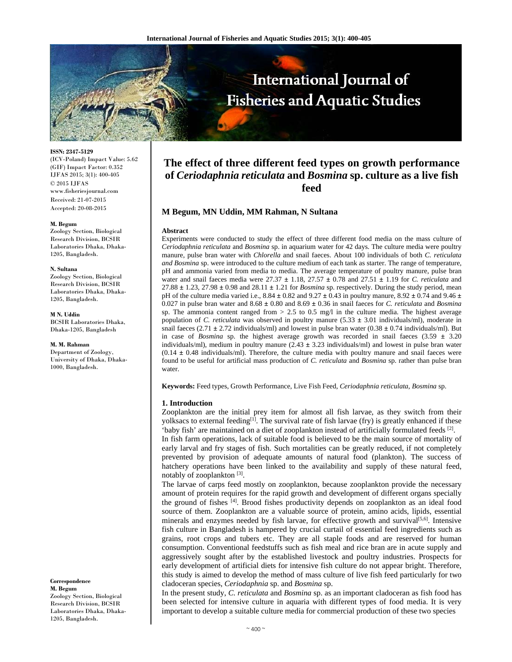

**ISSN: 2347-5129** 

(ICV-Poland) Impact Value: 5.62 (GIF) Impact Factor: 0.352 IJFAS 2015; 3(1): 400-405 © 2015 IJFAS www.fisheriesjournal.com Received: 21-07-2015 Accepted: 20-08-2015

#### **M. Begum**

Zoology Section, Biological Research Division, BCSIR Laboratories Dhaka, Dhaka-1205, Bangladesh.

#### **N. Sultana**

Zoology Section, Biological Research Division, BCSIR Laboratories Dhaka, Dhaka-1205, Bangladesh.

**M N. Uddin** BCSIR Laboratories Dhaka, Dhaka-1205, Bangladesh

**M. M. Rahman**

Department of Zoology, University of Dhaka, Dhaka-1000, Bangladesh.

**Correspondence M. Begum**  Zoology Section, Biological Research Division, BCSIR Laboratories Dhaka, Dhaka-1205, Bangladesh.

# **The effect of three different feed types on growth performance of** *Ceriodaphnia reticulata* **and** *Bosmina* **sp. culture as a live fish feed**

# **M Begum, MN Uddin, MM Rahman, N Sultana**

#### **Abstract**

Experiments were conducted to study the effect of three different food media on the mass culture of *Ceriodaphnia reticulata* and *Bosmina* sp. in aquarium water for 42 days. The culture media were poultry manure, pulse bran water with *Chlorella* and snail faeces. About 100 individuals of both *C. reticulata and Bosmina* sp. were introduced to the culture medium of each tank as starter. The range of temperature, pH and ammonia varied from media to media. The average temperature of poultry manure, pulse bran water and snail faeces media were 27.37 **±** 1.18, 27.57 **±** 0.78 and 27.51 **±** 1.19 for *C. reticulata* and 27.88 **±** 1.23, 27.98 **±** 0.98 and 28.11 **±** 1.21 for *Bosmina* sp. respectively. During the study period, mean pH of the culture media varied i.e.,  $8.84 \pm 0.82$  and  $9.27 \pm 0.43$  in poultry manure,  $8.92 \pm 0.74$  and  $9.46 \pm 0.74$ 0.027 in pulse bran water and  $8.68 \pm 0.80$  and  $8.69 \pm 0.36$  in snail faeces for *C. reticulata* and *Bosmina* sp. The ammonia content ranged from  $> 2.5$  to 0.5 mg/l in the culture media. The highest average population of *C. reticulata* was observed in poultry manure (5.33 **±** 3.01 individuals/ml), moderate in snail faeces (2.71 **±** 2.72 individuals/ml) and lowest in pulse bran water (0.38 **±** 0.74 individuals/ml). But in case of *Bosmina* sp. the highest average growth was recorded in snail faeces  $(3.59 \pm 3.20)$ individuals/ml), medium in poultry manure (2.43 **±** 3.23 individuals/ml) and lowest in pulse bran water  $(0.14 \pm 0.48$  individuals/ml). Therefore, the culture media with poultry manure and snail faeces were found to be useful for artificial mass production of *C. reticulata* and *Bosmina* sp. rather than pulse bran water.

**Keywords:** Feed types, Growth Performance, Live Fish Feed, *Ceriodaphnia reticulata*, *Bosmina* sp.

# **1. Introduction**

Zooplankton are the initial prey item for almost all fish larvae, as they switch from their yolksacs to external feeding<sup>[1]</sup>. The survival rate of fish larvae (fry) is greatly enhanced if these 'baby fish' are maintained on a diet of zooplankton instead of artificially formulated feeds [2].

In fish farm operations, lack of suitable food is believed to be the main source of mortality of early larval and fry stages of fish. Such mortalities can be greatly reduced, if not completely prevented by provision of adequate amounts of natural food (plankton). The success of hatchery operations have been linked to the availability and supply of these natural feed, notably of zooplankton  $[3]$ .

The larvae of carps feed mostly on zooplankton, because zooplankton provide the necessary amount of protein requires for the rapid growth and development of different organs specially the ground of fishes [4]. Brood fishes productivity depends on zooplankton as an ideal food source of them. Zooplankton are a valuable source of protein, amino acids, lipids, essential minerals and enzymes needed by fish larvae, for effective growth and survival $[5,6]$ . Intensive fish culture in Bangladesh is hampered by crucial curtail of essential feed ingredients such as grains, root crops and tubers etc. They are all staple foods and are reserved for human consumption. Conventional feedstuffs such as fish meal and rice bran are in acute supply and aggressively sought after by the established livestock and poultry industries. Prospects for early development of artificial diets for intensive fish culture do not appear bright. Therefore, this study is aimed to develop the method of mass culture of live fish feed particularly for two cladoceran species, *Ceriodaphnia* sp. and *Bosmina* sp.

In the present study, *C. reticulata* and *Bosmina* sp. as an important cladoceran as fish food has been selected for intensive culture in aquaria with different types of food media. It is very important to develop a suitable culture media for commercial production of these two species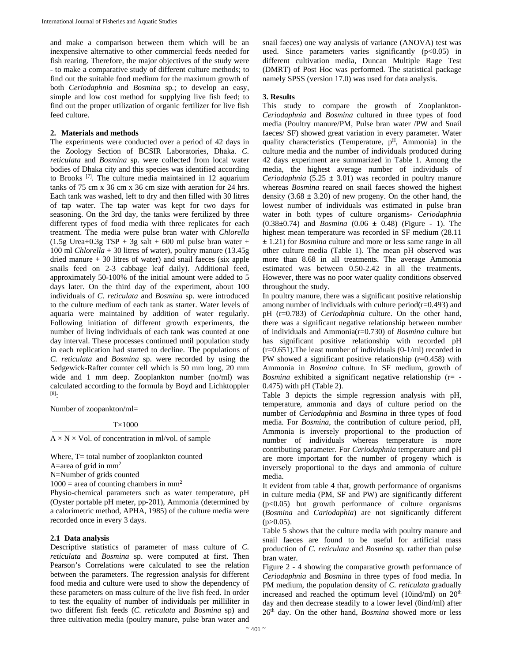and make a comparison between them which will be an inexpensive alternative to other commercial feeds needed for fish rearing. Therefore, the major objectives of the study were - to make a comparative study of different culture methods; to find out the suitable food medium for the maximum growth of both *Ceriodaphnia* and *Bosmina* sp*.*; to develop an easy, simple and low cost method for supplying live fish feed; to find out the proper utilization of organic fertilizer for live fish feed culture.

# **2. Materials and methods**

The experiments were conducted over a period of 42 days in the Zoology Section of BCSIR Laboratories, Dhaka. *C. reticulata* and *Bosmina* sp. were collected from local water bodies of Dhaka city and this species was identified according to Brooks [7]. The culture media maintained in 12 aquarium tanks of 75 cm x 36 cm x 36 cm size with aeration for 24 hrs. Each tank was washed, left to dry and then filled with 30 litres of tap water. The tap water was kept for two days for seasoning. On the 3rd day, the tanks were fertilized by three different types of food media with three replicates for each treatment. The media were pulse bran water with *Chlorella*   $(1.5g$  Urea+0.3g TSP + 3g salt + 600 ml pulse bran water + 100 ml *Chlorella* + 30 litres of water), poultry manure (13.45g dried manure + 30 litres of water) and snail faeces (six apple snails feed on 2-3 cabbage leaf daily). Additional feed, approximately 50-100% of the initial amount were added to 5 days later. On the third day of the experiment, about 100 individuals of *C. reticulata* and *Bosmina* sp. were introduced to the culture medium of each tank as starter. Water levels of aquaria were maintained by addition of water regularly. Following initiation of different growth experiments, the number of living individuals of each tank was counted at one day interval. These processes continued until population study in each replication had started to decline. The populations of *C. reticulata* and *Bosmina* sp. were recorded by using the Sedgewick-Rafter counter cell which is 50 mm long, 20 mm wide and 1 mm deep. Zooplankton number (no/ml) was calculated according to the formula by Boyd and Lichktoppler [8]:

Number of zoopankton/ml=

T×1000

 $A \times N \times Vol$ . of concentration in ml/vol. of sample

Where, T= total number of zooplankton counted A=area of grid in  $mm<sup>2</sup>$ 

N=Number of grids counted

 $1000$  = area of counting chambers in mm<sup>2</sup>

Physio-chemical parameters such as water temperature, pH (Oyster portable pH meter, pp-201), Ammonia (determined by a calorimetric method, APHA, 1985) of the culture media were recorded once in every 3 days.

# **2.1 Data analysis**

Descriptive statistics of parameter of mass culture of *C. reticulata* and *Bosmina* sp. were computed at first. Then Pearson's Correlations were calculated to see the relation between the parameters. The regression analysis for different food media and culture were used to show the dependency of these parameters on mass culture of the live fish feed. In order to test the equality of number of individuals per milliliter in two different fish feeds (*C. reticulata* and *Bosmina* sp) and three cultivation media (poultry manure, pulse bran water and

snail faeces) one way analysis of variance (ANOVA) test was used. Since parameters varies significantly  $(p<0.05)$  in different cultivation media, Duncan Multiple Rage Test (DMRT) of Post Hoc was performed. The statistical package namely SPSS (version 17.0) was used for data analysis.

#### **3. Results**

This study to compare the growth of Zooplankton-*Ceriodaphnia* and *Bosmina* cultured in three types of food media (Poultry manure/PM, Pulse bran water /PW and Snail faeces/ SF) showed great variation in every parameter. Water quality characteristics (Temperature, p<sup>H</sup>, Ammonia) in the culture media and the number of individuals produced during 42 days experiment are summarized in Table 1. Among the media, the highest average number of individuals of *Ceriodaphnia*  $(5.25 \pm 3.01)$  was recorded in poultry manure whereas *Bosmina* reared on snail faeces showed the highest density  $(3.68 \pm 3.20)$  of new progeny. On the other hand, the lowest number of individuals was estimated in pulse bran water in both types of culture organisms- *Ceriodaphnia* (0.38**±**0.74) and *Bosmina* (0.06 **±** 0.48) (Figure - 1). The highest mean temperature was recorded in SF medium (28.11 **±** 1.21) for *Bosmina* culture and more or less same range in all other culture media (Table 1). The mean pH observed was more than 8.68 in all treatments. The average Ammonia estimated was between 0.50-2.42 in all the treatments. However, there was no poor water quality conditions observed throughout the study.

In poultry manure, there was a significant positive relationship among number of individuals with culture period( $r=0.493$ ) and pH (r=0.783) of *Ceriodaphnia* culture. On the other hand, there was a significant negative relationship between number of individuals and Ammonia(r=0.730) of *Bosmina* culture but has significant positive relationship with recorded pH  $(r=0.651)$ . The least number of individuals  $(0-1/ml)$  recorded in PW showed a significant positive relationship (r=0.458) with Ammonia in *Bosmina* culture. In SF medium, growth of *Bosmina* exhibited a significant negative relationship (r= - 0.475) with pH (Table 2).

Table 3 depicts the simple regression analysis with pH, temperature, ammonia and days of culture period on the number of *Ceriodaphnia* and *Bosmina* in three types of food media. For *Bosmina*, the contribution of culture period, pH, Ammonia is inversely proportional to the production of number of individuals whereas temperature is more contributing parameter. For *Ceriodaphnia* temperature and pH are more important for the number of progeny which is inversely proportional to the days and ammonia of culture media.

It evident from table 4 that, growth performance of organisms in culture media (PM, SF and PW) are significantly different (p<0.05) but growth performance of culture organisms (*Bosmina* and *Cariodaphia*) are not significantly different  $(p>0.05)$ .

Table 5 shows that the culture media with poultry manure and snail faeces are found to be useful for artificial mass production of *C. reticulata* and *Bosmina* sp. rather than pulse bran water.

Figure 2 - 4 showing the comparative growth performance of *Ceriodaphnia* and *Bosmina* in three types of food media. In PM medium, the population density of *C. reticulata* gradually increased and reached the optimum level  $(10ind/ml)$  on  $20<sup>th</sup>$ day and then decrease steadily to a lower level (0ind/ml) after 26th day. On the other hand, *Bosmina* showed more or less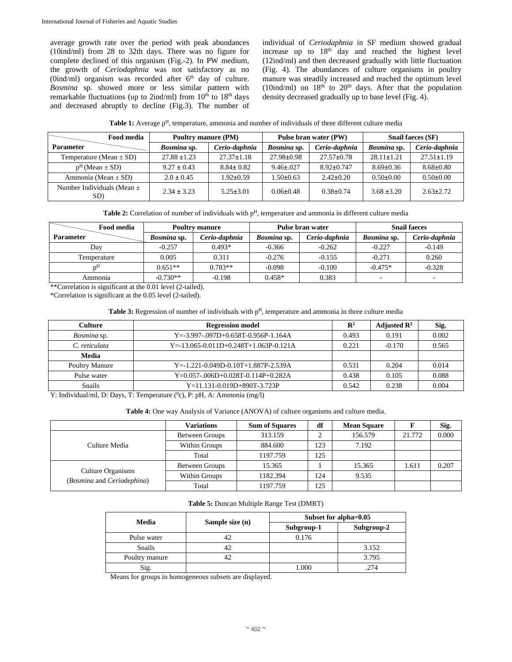average growth rate over the period with peak abundances (10ind/ml) from 28 to 32th days. There was no figure for complete declined of this organism (Fig.-2). In PW medium, the growth of *Ceriodaphnia* was not satisfactory as no (0ind/ml) organism was recorded after  $6<sup>th</sup>$  day of culture. *Bosmina* sp. showed more or less similar pattern with remarkable fluctuations (up to 2ind/ml) from  $10^{th}$  to  $18^{th}$  days and decreased abruptly to decline (Fig.3). The number of individual of *Ceriodaphnia* in SF medium showed gradual increase up to  $18<sup>th</sup>$  day and reached the highest level (12ind/ml) and then decreased gradually with little fluctuation (Fig. 4). The abundances of culture organisms in poultry manure was steadily increased and reached the optimum level (10ind/ml) on  $18<sup>th</sup>$  to  $20<sup>th</sup>$  days. After that the population density decreased gradually up to base level (Fig. 4).

Table 1: Average p<sup>H</sup>, temperature, ammonia and number of individuals of three different culture media

| <b>Food media</b>                     | Poultry manure (PM) |                  | Pulse bran water (PW) |                  | <b>Snail faeces (SF)</b> |                  |
|---------------------------------------|---------------------|------------------|-----------------------|------------------|--------------------------|------------------|
| <b>Parameter</b>                      | Bosmina sp.         | Cerio-daphnia    | Bosmina sp.           | Cerio-daphnia    | Bosmina sp.              | Cerio-daphnia    |
| Temperature (Mean $\pm$ SD)           | $27.88 \pm 1.23$    | $27.37 \pm 1.18$ | $27.98 \pm 0.98$      | $27.57 \pm 0.78$ | $28.11 \pm 1.21$         | $27.51 \pm 1.19$ |
| $pH$ (Mean $\pm$ SD)                  | $9.27 \pm 0.43$     | $8.84 \pm 0.82$  | $9.46 \pm 0.027$      | $8.92 \pm 0.747$ | $8.69 \pm 0.36$          | $8.68 \pm 0.80$  |
| Ammonia (Mean $\pm$ SD)               | $2.0 \pm 0.45$      | $1.92 \pm 0.59$  | $1.50 \pm 0.63$       | $2.42 \pm 0.20$  | $0.50 \pm 0.00$          | $0.50 \pm 0.00$  |
| Number Individuals (Mean $\pm$<br>SD) | $2.34 \pm 3.23$     | $5.25 \pm 3.01$  | $0.06 \pm 0.48$       | $0.38 \pm 0.74$  | $3.68 \pm 3.20$          | $2.63 \pm 2.72$  |

| <b>Food media</b> |             | <b>Poultry manure</b> |             | <b>Pulse bran water</b> | <b>Snail faeces</b> |                          |
|-------------------|-------------|-----------------------|-------------|-------------------------|---------------------|--------------------------|
| <b>Parameter</b>  | Bosmina sp. | Cerio-daphnia         | Bosmina sp. | Cerio-daphnia           | Bosmina sp.         | Cerio-daphnia            |
| Day               | $-0.257$    | $0.493*$              | $-0.366$    | $-0.262$                | $-0.227$            | $-0.149$                 |
| Temperature       | 0.005       | 0.311                 | $-0.276$    | $-0.155$                | $-0.271$            | 0.260                    |
| 'nП               | $0.651**$   | $0.783**$             | $-0.098$    | $-0.100$                | $-0.475*$           | $-0.328$                 |
| Ammonia           | $-0.730**$  | $-0.198$              | $0.458*$    | 0.383                   |                     | $\overline{\phantom{a}}$ |

\*\*Correlation is significant at the 0.01 level (2-tailed).

\*Correlation is significant at the 0.05 level (2-tailed).

# Table 3: Regression of number of individuals with p<sup>H</sup>, temperature and ammonia in three culture media

| <b>Culture</b>     | <b>Regression model</b>                           | $\mathbf{R}^2$ | Adjusted $\mathbb{R}^2$ | Sig.  |
|--------------------|---------------------------------------------------|----------------|-------------------------|-------|
| <i>Bosmina</i> sp. | $Y = -3.997 - 0.097D + 0.658T - 0.956P - 1.164A$  | 0.493          | 0.191                   | 0.002 |
| C. reticulata      | $Y = -13.065 - 0.011D + 0.248T + 1.063P - 0.121A$ | 0.221          | $-0.170$                | 0.565 |
| Media              |                                                   |                |                         |       |
| Poultry Manure     | $Y = -1.221 - 0.049D - 0.10T + 1.887P - 2.539A$   | 0.531          | 0.204                   | 0.014 |
| Pulse water        | $Y=0.057-0.06D+0.028T-0.114P+0.282A$              | 0.438          | 0.105                   | 0.088 |
| Snails             | $Y=11.131-0.019D+890T-3.723P$                     | 0.542          | 0.238                   | 0.004 |

Y: Individual/ml, D: Days, T: Temperature (<sup>0</sup>c), P: pH, A: Ammonia (mg/l)

Table 4: One way Analysis of Variance (ANOVA) of culture organisms and culture media.

|                                                 | <b>Variations</b>     | <b>Sum of Squares</b> | df  | <b>Mean Square</b> | F      | Sig.  |
|-------------------------------------------------|-----------------------|-----------------------|-----|--------------------|--------|-------|
| Culture Media                                   | <b>Between Groups</b> | 313.159               |     | 156.579            | 21.772 | 0.000 |
|                                                 | Within Groups         | 884.600               | 123 | 7.192              |        |       |
|                                                 | Total                 | 1197.759              | 125 |                    |        |       |
|                                                 | <b>Between Groups</b> | 15.365                |     | 15.365             | 1.611  | 0.207 |
| Culture Organisms<br>(Bosmina and Ceriodephina) | Within Groups         | 1182.394              | 124 | 9.535              |        |       |
|                                                 | Total                 | 1197.759              | 125 |                    |        |       |

**Table 5:** Duncan Multiple Range Test (DMRT)

| Media          |                 |            | Subset for alpha=0.05 |  |  |
|----------------|-----------------|------------|-----------------------|--|--|
|                | Sample size (n) | Subgroup-1 | Subgroup-2            |  |  |
| Pulse water    | 42              | 0.176      |                       |  |  |
| <b>Snails</b>  | 42              |            | 3.152                 |  |  |
| Poultry manure | 42              |            | 3.795                 |  |  |
| Sig.           |                 | .000       | 274                   |  |  |

Means for groups in homogeneous subsets are displayed.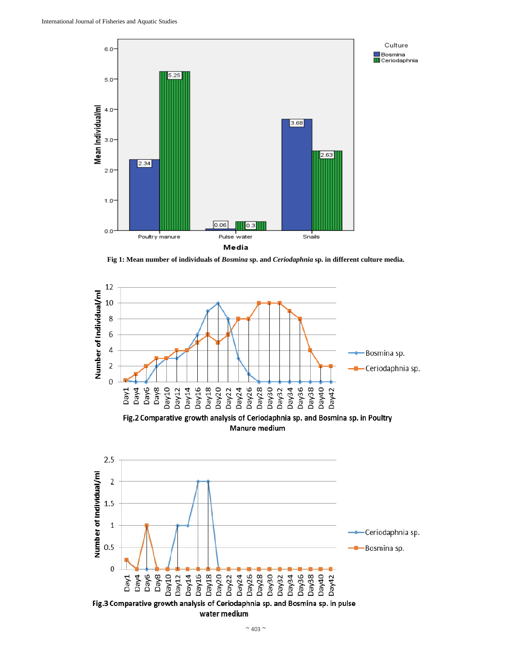

**Fig 1: Mean number of individuals of** *Bosmina* **sp. and** *Ceriodaphnia* **sp. in different culture media.**



 $\sim$  403  $\sim$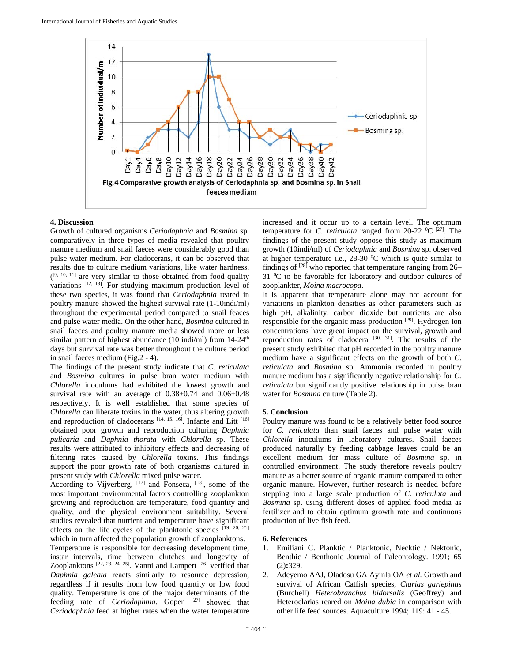

# **4. Discussion**

Growth of cultured organisms *Ceriodaphnia* and *Bosmina* sp. comparatively in three types of media revealed that poultry manure medium and snail faeces were considerably good than pulse water medium. For cladocerans, it can be observed that results due to culture medium variations, like water hardness,  $(19, 10, 11)$  are very similar to those obtained from food quality variations [12, 13]. For studying maximum production level of these two species, it was found that *Ceriodaphnia* reared in poultry manure showed the highest survival rate (1-10indi/ml) throughout the experimental period compared to snail feaces and pulse water media. On the other hand, *Bosmina* cultured in snail faeces and poultry manure media showed more or less similar pattern of highest abundance (10 indi/ml) from  $14-24$ <sup>th</sup> days but survival rate was better throughout the culture period in snail faeces medium (Fig.2 - 4).

The findings of the present study indicate that *C. reticulata* and *Bosmina* cultures in pulse bran water medium with *Chlorella* inoculums had exhibited the lowest growth and survival rate with an average of  $0.38 \pm 0.74$  and  $0.06 \pm 0.48$ respectively. It is well established that some species of *Chlorella* can liberate toxins in the water, thus altering growth and reproduction of cladocerans [14, 15, 16]. Infante and Litt [16] obtained poor growth and reproduction culturing *Daphnia pulicaria* and *Daphnia thorata* with *Chlorella* sp. These results were attributed to inhibitory effects and decreasing of filtering rates caused by *Chlorella* toxins. This findings support the poor growth rate of both organisms cultured in present study with *Chlorella* mixed pulse water.

According to Vijverberg,  $[17]$  and Fonseca,  $[18]$ , some of the most important environmental factors controlling zooplankton growing and reproduction are temperature, food quantity and quality, and the physical environment suitability. Several studies revealed that nutrient and temperature have significant effects on the life cycles of the planktonic species  $[19, 20, 21]$ which in turn affected the population growth of zooplanktons.

Temperature is responsible for decreasing development time, instar intervals, time between clutches and longevity of Zooplanktons [22, 23, 24, 25]. Vanni and Lampert [26] verified that *Daphnia galeata* reacts similarly to resource depression, regardless if it results from low food quantity or low food quality. Temperature is one of the major determinants of the feeding rate of *Ceriodaphnia*. Gopen [27] showed that *Ceriodaphnia* feed at higher rates when the water temperature

increased and it occur up to a certain level. The optimum temperature for *C. reticulata* ranged from 20-22  $^0C$  <sup>[27]</sup>. The findings of the present study oppose this study as maximum growth (10indi/ml) of *Ceriodaphnia* and *Bosmina* sp. observed at higher temperature i.e.,  $28-30$  °C which is quite similar to findings of  $[28]$  who reported that temperature ranging from 26– 31 <sup>o</sup>C to be favorable for laboratory and outdoor cultures of zooplankter, *Moina macrocopa*.

It is apparent that temperature alone may not account for variations in plankton densities as other parameters such as high pH, alkalinity, carbon dioxide but nutrients are also responsible for the organic mass production <sup>[29]</sup>. Hydrogen ion concentrations have great impact on the survival, growth and reproduction rates of cladocera  $[30, 31]$ . The results of the present study exhibited that pH recorded in the poultry manure medium have a significant effects on the growth of both *C. reticulata* and *Bosmina* sp. Ammonia recorded in poultry manure medium has a significantly negative relationship for *C. reticulata* but significantly positive relationship in pulse bran water for *Bosmina* culture (Table 2).

# **5. Conclusion**

Poultry manure was found to be a relatively better food source for *C. reticulata* than snail faeces and pulse water with *Chlorella* inoculums in laboratory cultures. Snail faeces produced naturally by feeding cabbage leaves could be an excellent medium for mass culture of *Bosmina* sp. in controlled environment. The study therefore reveals poultry manure as a better source of organic manure compared to other organic manure. However, further research is needed before stepping into a large scale production of *C. reticulata* and *Bosmina* sp. using different doses of applied food media as fertilizer and to obtain optimum growth rate and continuous production of live fish feed.

# **6. References**

- 1. Emiliani C. Planktic / Planktonic, Necktic / Nektonic, Benthic / Benthonic Journal of Paleontology. 1991; 65 (2)**:**329.
- 2. Adeyemo AAJ, Oladosu GA Ayinla OA *et al.* Growth and survival of African Catfish species, *Clarias gariepinus*  (Burchell) *Heterobranchus bidorsalis* (Geoffrey) and Heteroclarias reared on *Moina dubia* in comparison with other life feed sources. Aquaculture 1994; 119: 41 - 45.